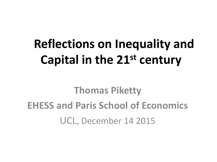# **Reflections on Inequality and Capital in the 21st century**

**Thomas Piketty EHESS and Paris School of Economics** UCL, December 14 2015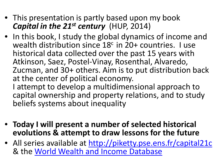- This presentation is partly based upon my book *Capital in the 21st century* (HUP, 2014)
- In this book, I study the global dynamics of income and wealth distribution since  $18<sup>c</sup>$  in 20+ countries. I use historical data collected over the past 15 years with Atkinson, Saez, Postel-Vinay, Rosenthal, Alvaredo, Zucman, and 30+ others. Aim is to put distribution back I attempt to develop a multidimensional approach to

capital ownership and property relations, and to study beliefs systems about inequality

- **Today I will present a number of selected historical evolutions & attempt to draw lessons for the future**
- All series available [at](http://www.wid.world/) <http://piketty.pse.ens.fr/capital21c><br>& the [World Wealth and Income Database](http://www.wid.world/)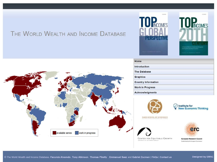### THE WORLD WEALTH AND INCOME DATABASE



 $-0.00000$ 

**TO PINCOMES** 

Institute for<br>New Economic Thinking

Established by the European Commission

© The World Wealth and Income Database. Facundo Alvaredo, Tony Atkinson, Thomas Piketty, Emmanuel Saez and Gabriel Zucman | FAQs | Contact us

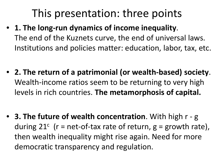## This presentation: three points

- **1. The long-run dynamics of income inequality**. The end of the Kuznets curve, the end of universal laws. Institutions and policies matter: education, labor, tax, etc.
- **2. The return of a patrimonial (or wealth-based) society**. Wealth-income ratios seem to be returning to very high levels in rich countries. **The metamorphosis of capital.**
- **3. The future of wealth concentration**. With high r g during  $21^c$  (r = net-of-tax rate of return, g = growth rate), then wealth inequality might rise again. Need for more democratic transparency and regulation.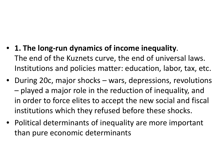- **1. The long-run dynamics of income inequality**. The end of the Kuznets curve, the end of universal laws. Institutions and policies matter: education, labor, tax, etc.
- During 20c, major shocks wars, depressions, revolutions – played a major role in the reduction of inequality, and in order to force elites to accept the new social and fiscal institutions which they refused before these shocks.
- Political determinants of inequality are more important than pure economic determinants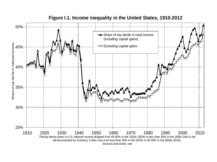

#### **Figure I.1. Income inequality in the United States, 1910-2012**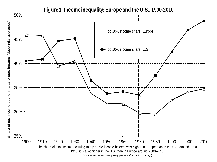

**Figure 1. Income inequality: Europe and the U.S., 1900-2010**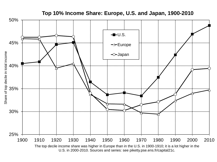

**Top 10% Income Share: Europe, U.S. and Japan, 1900-2010**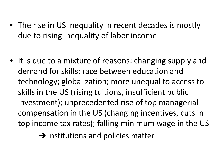- The rise in US inequality in recent decades is mostly due to rising inequality of labor income
- It is due to a mixture of reasons: changing supply and demand for skills; race between education and technology; globalization; more unequal to access to skills in the US (rising tuitions, insufficient public investment); unprecedented rise of top managerial compensation in the US (changing incentives, cuts in top income tax rates); falling minimum wage in the US

 $\rightarrow$  institutions and policies matter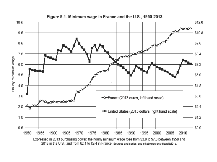

Figure 9.1. Minimum wage in France and the U.S., 1950-2013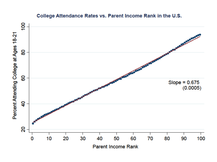

#### College Attendance Rates vs. Parent Income Rank in the U.S.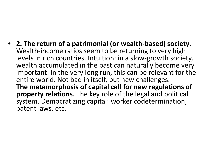• **2. The return of a patrimonial (or wealth-based) society**. Wealth-income ratios seem to be returning to very high levels in rich countries. Intuition: in a slow-growth society, wealth accumulated in the past can naturally become very important. In the very long run, this can be relevant for the entire world. Not bad in itself, but new challenges. **The metamorphosis of capital call for new regulations of property relations**. The key role of the legal and political system. Democratizing capital: worker codetermination, patent laws, etc.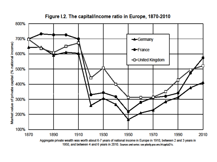

#### Figure I.2. The capital/income ratio in Europe, 1870-2010

1950, and between 4 and 6 years in 2010. Sources and series: see piketty.pse.ens.fr/capital21c.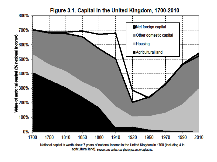![](_page_13_Figure_0.jpeg)

agricultural land). Sources and series: see piketty.pse.ens.tr/capital21c.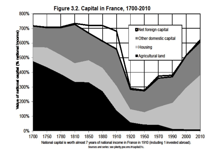![](_page_14_Figure_0.jpeg)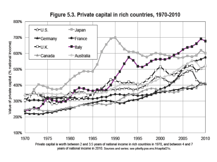![](_page_15_Figure_0.jpeg)

Figure 5.3. Private capital in rich countries, 1970-2010

years of national income in 2010. Sources and series: see piketty.pse.ens.fr/capital21c.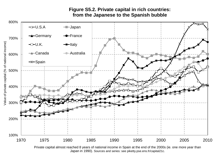![](_page_16_Figure_0.jpeg)

**Figure S5.2. Private capital in rich countries:** 

Private capital almost reached 8 years of national income in Spain at the end of the 2000s (ie. one more year than Japan in 1990). Sources and series: see piketty.pse.ens.fr/capital21c.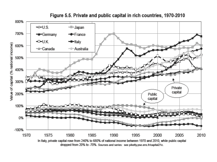![](_page_17_Figure_0.jpeg)

#### Figure 5.5. Private and public capital in rich countries, 1970-2010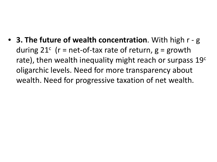• **3. The future of wealth concentration**. With high r - g during  $21^c$  (r = net-of-tax rate of return, g = growth rate), then wealth inequality might reach or surpass 19<sup>c</sup> oligarchic levels. Need for more transparency about wealth. Need for progressive taxation of net wealth.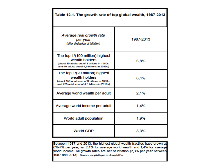| Table 12.1. The growth rate of top global wealth, 1987-2013                                                                                       |           |
|---------------------------------------------------------------------------------------------------------------------------------------------------|-----------|
| Average real growth rate<br>per year<br>(after deduction of inflation)                                                                            | 1987-2013 |
| The top 1/(100 million) highest<br>wealth holders<br>(about 30 adults out of 3 billions in 1980s,<br>and 45 adults out of 4,5 billions in 2010s)  | 6,8%      |
| The top 1/(20 million) highest<br>wealth holders<br>(about 150 adults out of 3 billions in 1980s,<br>and 225 adults out of 4,5 billions in 2010s) | 6.4%      |
| Average world wealth per adult                                                                                                                    | 2,1%      |
| Average world income per adult                                                                                                                    | 1.4%      |
| World adult population                                                                                                                            | 1,9%      |
| <b>World GDP</b>                                                                                                                                  | 3,3%      |

Between 1987 and 2013, the highest global wealth fractiles have grown at 6%-7% per year, vs. 2,1% for average world wealth and 1,4% for average world income. All growth rates are net of inflation (2,3% per year between 1987 and 2013). Sources: see piketty.pse.ens.fr/capital21c.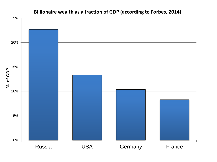![](_page_20_Figure_0.jpeg)

#### **Billionaire wealth as a fraction of GDP (according to Forbes, 2014)**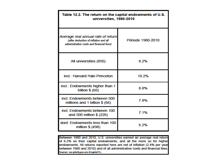| Table 12.2. The return on the capital endowments of U.S.<br>universities, 1980-2010                                     |                   |
|-------------------------------------------------------------------------------------------------------------------------|-------------------|
| Average real annual rate of return<br>(after deduction of inflation and all<br>administrative costs and financial fees) | Période 1980-2010 |
| All universities (850)                                                                                                  | 8.2%              |
| incl.: Harvard-Yale-Princeton                                                                                           | 10.2%             |
| incl.: Endowments higher than 1<br>billion $$ (60)$                                                                     | 8.8%              |
| incl. Endowments between 500<br>millions and 1 billion \$ (66)                                                          | 7.8%              |
| incl. Endowments between 100<br>and 500 million \$ (226)                                                                | 7.1%              |
| dont: Endowments less than 100<br>million \$ (498)                                                                      | 6.2%              |

Between 1980 and 2010, U.S. universities earned an average real return of 8.2% on their capital endowments, and all the more so for higher endowments. All returns reported here are net of inflation (2.4% per year between 1980 and 2010) and of all administrative costs and financial fees. Sources: see piketty.pse.ens.fr/capital21c.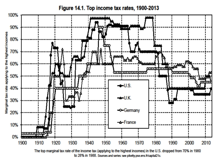![](_page_22_Figure_0.jpeg)

The top marginal tax rate of the income tax (applying to the highest incomes) in the U.S. dropped from 70% in 1980 to 28% in 1988. Sources and series: see piketty.pse.ens.fr/capital21c.

#### Figure 14.1. Top income tax rates, 1900-2013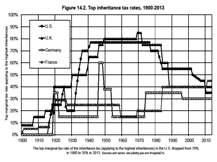Figure 14.2. Top inheritance tax rates, 1900-2013

![](_page_23_Figure_1.jpeg)

The top marginal tax rate of the inheritance tax (applying to the highest inheritances) in the U.S. dropped from 70% in 1980 to 35% in 2013. Sources and series: see piketty.pse.ens.fr/capital21c.